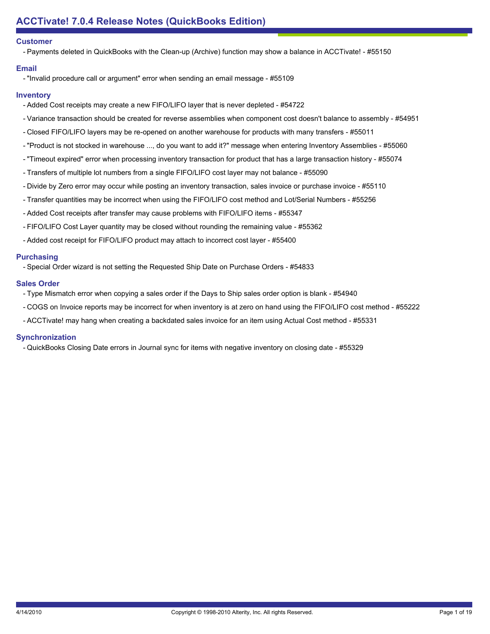## **Customer**

- Payments deleted in QuickBooks with the Clean-up (Archive) function may show a balance in ACCTivate! - #55150

## **Email**

- "Invalid procedure call or argument" error when sending an email message - #55109

## **Inventory**

- Added Cost receipts may create a new FIFO/LIFO layer that is never depleted #54722
- Variance transaction should be created for reverse assemblies when component cost doesn't balance to assembly #54951
- Closed FIFO/LIFO layers may be re-opened on another warehouse for products with many transfers #55011
- "Product is not stocked in warehouse ..., do you want to add it?" message when entering Inventory Assemblies #55060
- "Timeout expired" error when processing inventory transaction for product that has a large transaction history #55074
- Transfers of multiple lot numbers from a single FIFO/LIFO cost layer may not balance #55090
- Divide by Zero error may occur while posting an inventory transaction, sales invoice or purchase invoice #55110
- Transfer quantities may be incorrect when using the FIFO/LIFO cost method and Lot/Serial Numbers #55256
- Added Cost receipts after transfer may cause problems with FIFO/LIFO items #55347
- FIFO/LIFO Cost Layer quantity may be closed without rounding the remaining value #55362
- Added cost receipt for FIFO/LIFO product may attach to incorrect cost layer #55400

## **Purchasing**

- Special Order wizard is not setting the Requested Ship Date on Purchase Orders - #54833

#### **Sales Order**

- Type Mismatch error when copying a sales order if the Days to Ship sales order option is blank #54940
- COGS on Invoice reports may be incorrect for when inventory is at zero on hand using the FIFO/LIFO cost method #55222
- ACCTivate! may hang when creating a backdated sales invoice for an item using Actual Cost method #55331

## **Synchronization**

- QuickBooks Closing Date errors in Journal sync for items with negative inventory on closing date - #55329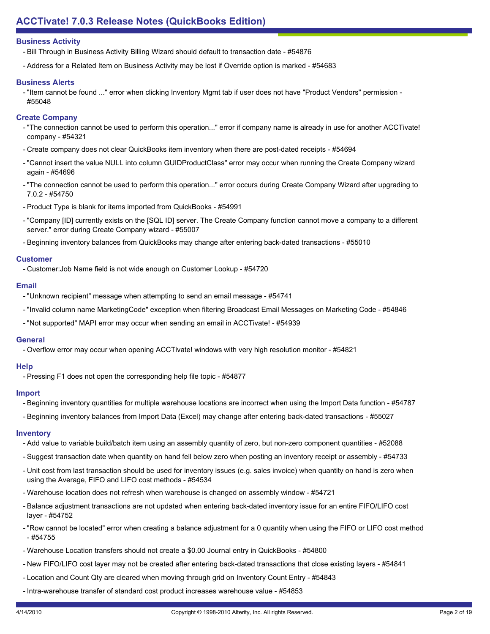- Bill Through in Business Activity Billing Wizard should default to transaction date - #54876

- Address for a Related Item on Business Activity may be lost if Override option is marked - #54683

## **Business Alerts**

- "Item cannot be found ..." error when clicking Inventory Mgmt tab if user does not have "Product Vendors" permission -#55048

## **Create Company**

- "The connection cannot be used to perform this operation..." error if company name is already in use for another ACCTivate! company - #54321
- Create company does not clear QuickBooks item inventory when there are post-dated receipts #54694
- "Cannot insert the value NULL into column GUIDProductClass" error may occur when running the Create Company wizard again - #54696
- "The connection cannot be used to perform this operation..." error occurs during Create Company Wizard after upgrading to 7.0.2 - #54750
- Product Type is blank for items imported from QuickBooks #54991
- "Company [ID] currently exists on the [SQL ID] server. The Create Company function cannot move a company to a different server." error during Create Company wizard - #55007
- Beginning inventory balances from QuickBooks may change after entering back-dated transactions #55010

## **Customer**

- Customer:Job Name field is not wide enough on Customer Lookup - #54720

## **Email**

- "Unknown recipient" message when attempting to send an email message #54741
- "Invalid column name MarketingCode" exception when filtering Broadcast Email Messages on Marketing Code #54846
- "Not supported" MAPI error may occur when sending an email in ACCTivate! #54939

## **General**

- Overflow error may occur when opening ACCTivate! windows with very high resolution monitor - #54821

## **Help**

- Pressing F1 does not open the corresponding help file topic - #54877

## **Import**

- Beginning inventory quantities for multiple warehouse locations are incorrect when using the Import Data function #54787
- Beginning inventory balances from Import Data (Excel) may change after entering back-dated transactions #55027

## **Inventory**

- Add value to variable build/batch item using an assembly quantity of zero, but non-zero component quantities #52088
- Suggest transaction date when quantity on hand fell below zero when posting an inventory receipt or assembly #54733
- Unit cost from last transaction should be used for inventory issues (e.g. sales invoice) when quantity on hand is zero when using the Average, FIFO and LIFO cost methods - #54534
- Warehouse location does not refresh when warehouse is changed on assembly window #54721
- Balance adjustment transactions are not updated when entering back-dated inventory issue for an entire FIFO/LIFO cost layer - #54752
- "Row cannot be located" error when creating a balance adjustment for a 0 quantity when using the FIFO or LIFO cost method - #54755
- Warehouse Location transfers should not create a \$0.00 Journal entry in QuickBooks #54800
- New FIFO/LIFO cost layer may not be created after entering back-dated transactions that close existing layers #54841
- Location and Count Qty are cleared when moving through grid on Inventory Count Entry #54843
- Intra-warehouse transfer of standard cost product increases warehouse value #54853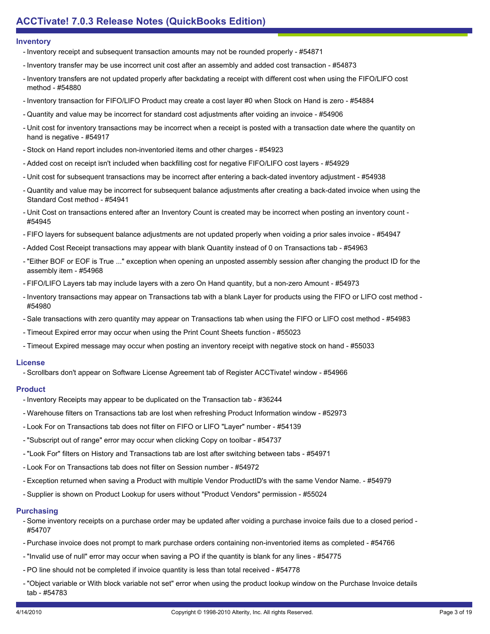#### **Inventory**

- Inventory receipt and subsequent transaction amounts may not be rounded properly #54871
- Inventory transfer may be use incorrect unit cost after an assembly and added cost transaction #54873
- Inventory transfers are not updated properly after backdating a receipt with different cost when using the FIFO/LIFO cost method - #54880
- Inventory transaction for FIFO/LIFO Product may create a cost layer #0 when Stock on Hand is zero #54884
- Quantity and value may be incorrect for standard cost adjustments after voiding an invoice #54906
- Unit cost for inventory transactions may be incorrect when a receipt is posted with a transaction date where the quantity on hand is negative - #54917
- Stock on Hand report includes non-inventoried items and other charges #54923
- Added cost on receipt isn't included when backfilling cost for negative FIFO/LIFO cost layers #54929
- Unit cost for subsequent transactions may be incorrect after entering a back-dated inventory adjustment #54938
- Quantity and value may be incorrect for subsequent balance adjustments after creating a back-dated invoice when using the Standard Cost method - #54941
- Unit Cost on transactions entered after an Inventory Count is created may be incorrect when posting an inventory count -#54945
- FIFO layers for subsequent balance adjustments are not updated properly when voiding a prior sales invoice #54947
- Added Cost Receipt transactions may appear with blank Quantity instead of 0 on Transactions tab #54963
- "Either BOF or EOF is True ..." exception when opening an unposted assembly session after changing the product ID for the assembly item - #54968
- FIFO/LIFO Layers tab may include layers with a zero On Hand quantity, but a non-zero Amount #54973
- Inventory transactions may appear on Transactions tab with a blank Layer for products using the FIFO or LIFO cost method -#54980
- Sale transactions with zero quantity may appear on Transactions tab when using the FIFO or LIFO cost method #54983
- Timeout Expired error may occur when using the Print Count Sheets function #55023
- Timeout Expired message may occur when posting an inventory receipt with negative stock on hand #55033

#### **License**

- Scrollbars don't appear on Software License Agreement tab of Register ACCTivate! window - #54966

## **Product**

- Inventory Receipts may appear to be duplicated on the Transaction tab #36244
- Warehouse filters on Transactions tab are lost when refreshing Product Information window #52973
- Look For on Transactions tab does not filter on FIFO or LIFO "Layer" number #54139
- "Subscript out of range" error may occur when clicking Copy on toolbar #54737
- "Look For" filters on History and Transactions tab are lost after switching between tabs #54971
- Look For on Transactions tab does not filter on Session number #54972
- Exception returned when saving a Product with multiple Vendor ProductID's with the same Vendor Name. #54979
- Supplier is shown on Product Lookup for users without "Product Vendors" permission #55024

## **Purchasing**

- Some inventory receipts on a purchase order may be updated after voiding a purchase invoice fails due to a closed period -#54707
- Purchase invoice does not prompt to mark purchase orders containing non-inventoried items as completed #54766
- "Invalid use of null" error may occur when saving a PO if the quantity is blank for any lines #54775
- PO line should not be completed if invoice quantity is less than total received #54778
- "Object variable or With block variable not set" error when using the product lookup window on the Purchase Invoice details tab - #54783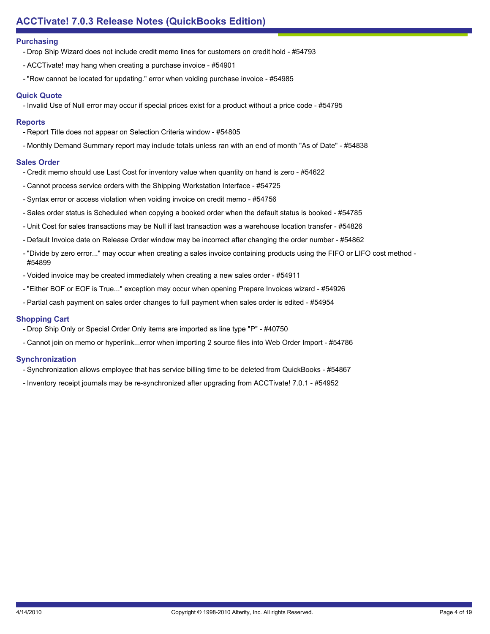## **Purchasing**

- Drop Ship Wizard does not include credit memo lines for customers on credit hold #54793
- ACCTivate! may hang when creating a purchase invoice #54901
- "Row cannot be located for updating." error when voiding purchase invoice #54985

## **Quick Quote**

- Invalid Use of Null error may occur if special prices exist for a product without a price code - #54795

## **Reports**

- Report Title does not appear on Selection Criteria window #54805
- Monthly Demand Summary report may include totals unless ran with an end of month "As of Date" #54838

## **Sales Order**

- Credit memo should use Last Cost for inventory value when quantity on hand is zero #54622
- Cannot process service orders with the Shipping Workstation Interface #54725
- Syntax error or access violation when voiding invoice on credit memo #54756
- Sales order status is Scheduled when copying a booked order when the default status is booked #54785
- Unit Cost for sales transactions may be Null if last transaction was a warehouse location transfer #54826
- Default Invoice date on Release Order window may be incorrect after changing the order number #54862
- "Divide by zero error..." may occur when creating a sales invoice containing products using the FIFO or LIFO cost method -#54899
- Voided invoice may be created immediately when creating a new sales order #54911
- "Either BOF or EOF is True..." exception may occur when opening Prepare Invoices wizard #54926
- Partial cash payment on sales order changes to full payment when sales order is edited #54954

# **Shopping Cart**

- Drop Ship Only or Special Order Only items are imported as line type "P" #40750
- Cannot join on memo or hyperlink...error when importing 2 source files into Web Order Import #54786

# **Synchronization**

- Synchronization allows employee that has service billing time to be deleted from QuickBooks #54867
- Inventory receipt journals may be re-synchronized after upgrading from ACCTivate! 7.0.1 #54952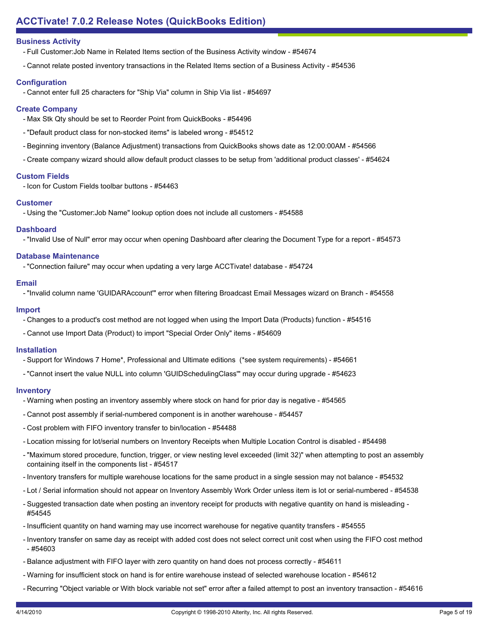- Full Customer:Job Name in Related Items section of the Business Activity window - #54674

- Cannot relate posted inventory transactions in the Related Items section of a Business Activity - #54536

## **Configuration**

- Cannot enter full 25 characters for "Ship Via" column in Ship Via list - #54697

## **Create Company**

- Max Stk Qty should be set to Reorder Point from QuickBooks #54496
- "Default product class for non-stocked items" is labeled wrong #54512
- Beginning inventory (Balance Adjustment) transactions from QuickBooks shows date as 12:00:00AM #54566
- Create company wizard should allow default product classes to be setup from 'additional product classes' #54624

## **Custom Fields**

- Icon for Custom Fields toolbar buttons - #54463

## **Customer**

- Using the "Customer:Job Name" lookup option does not include all customers - #54588

## **Dashboard**

- "Invalid Use of Null" error may occur when opening Dashboard after clearing the Document Type for a report - #54573

## **Database Maintenance**

- "Connection failure" may occur when updating a very large ACCTivate! database - #54724

## **Email**

- "Invalid column name 'GUIDARAccount'" error when filtering Broadcast Email Messages wizard on Branch - #54558

## **Import**

- Changes to a product's cost method are not logged when using the Import Data (Products) function #54516
- Cannot use Import Data (Product) to import "Special Order Only" items #54609

## **Installation**

- Support for Windows 7 Home\*, Professional and Ultimate editions (\*see system requirements) #54661
- "Cannot insert the value NULL into column 'GUIDSchedulingClass'" may occur during upgrade #54623

## **Inventory**

- Warning when posting an inventory assembly where stock on hand for prior day is negative #54565
- Cannot post assembly if serial-numbered component is in another warehouse #54457
- Cost problem with FIFO inventory transfer to bin/location #54488
- Location missing for lot/serial numbers on Inventory Receipts when Multiple Location Control is disabled #54498
- "Maximum stored procedure, function, trigger, or view nesting level exceeded (limit 32)" when attempting to post an assembly containing itself in the components list - #54517
- Inventory transfers for multiple warehouse locations for the same product in a single session may not balance #54532
- Lot / Serial information should not appear on Inventory Assembly Work Order unless item is lot or serial-numbered #54538
- Suggested transaction date when posting an inventory receipt for products with negative quantity on hand is misleading -#54545
- Insufficient quantity on hand warning may use incorrect warehouse for negative quantity transfers #54555
- Inventory transfer on same day as receipt with added cost does not select correct unit cost when using the FIFO cost method  $-$  #54603
- Balance adjustment with FIFO layer with zero quantity on hand does not process correctly #54611
- Warning for insufficient stock on hand is for entire warehouse instead of selected warehouse location #54612
- Recurring "Object variable or With block variable not set" error after a failed attempt to post an inventory transaction #54616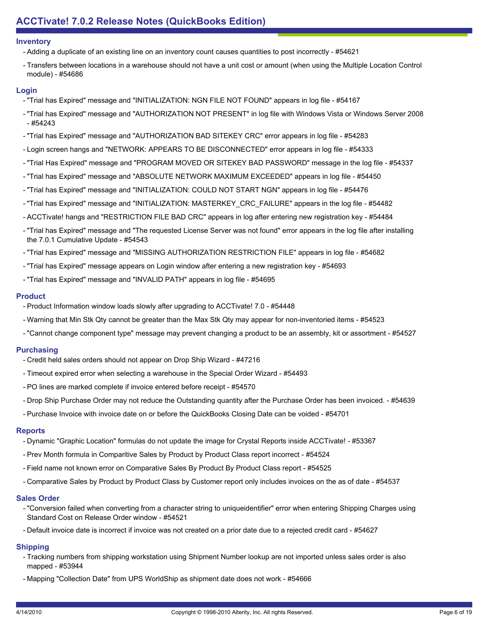#### **Inventory**

- Adding a duplicate of an existing line on an inventory count causes quantities to post incorrectly #54621
- Transfers between locations in a warehouse should not have a unit cost or amount (when using the Multiple Location Control module) - #54686

## **Login**

- "Trial has Expired" message and "INITIALIZATION: NGN FILE NOT FOUND" appears in log file #54167
- "Trial has Expired" message and "AUTHORIZATION NOT PRESENT" in log file with Windows Vista or Windows Server 2008 - #54243
- "Trial has Expired" message and "AUTHORIZATION BAD SITEKEY CRC" error appears in log file #54283
- Login screen hangs and "NETWORK: APPEARS TO BE DISCONNECTED" error appears in log file #54333
- "Trial Has Expired" message and "PROGRAM MOVED OR SITEKEY BAD PASSWORD" message in the log file #54337
- "Trial has Expired" message and "ABSOLUTE NETWORK MAXIMUM EXCEEDED" appears in log file #54450
- "Trial has Expired" message and "INITIALIZATION: COULD NOT START NGN" appears in log file #54476
- "Trial has Expired" message and "INITIALIZATION: MASTERKEY\_CRC\_FAILURE" appears in the log file #54482
- ACCTivate! hangs and "RESTRICTION FILE BAD CRC" appears in log after entering new registration key #54484
- "Trial has Expired" message and "The requested License Server was not found" error appears in the log file after installing the 7.0.1 Cumulative Update - #54543
- "Trial has Expired" message and "MISSING AUTHORIZATION RESTRICTION FILE" appears in log file #54682
- "Trial has Expired" message appears on Login window after entering a new registration key #54693
- "Trial has Expired" message and "INVALID PATH" appears in log file #54695

## **Product**

- Product Information window loads slowly after upgrading to ACCTivate! 7.0 #54448
- Warning that Min Stk Qty cannot be greater than the Max Stk Qty may appear for non-inventoried items #54523
- "Cannot change component type" message may prevent changing a product to be an assembly, kit or assortment #54527

# **Purchasing**

- Credit held sales orders should not appear on Drop Ship Wizard #47216
- Timeout expired error when selecting a warehouse in the Special Order Wizard #54493
- PO lines are marked complete if invoice entered before receipt #54570
- Drop Ship Purchase Order may not reduce the Outstanding quantity after the Purchase Order has been invoiced. #54639
- Purchase Invoice with invoice date on or before the QuickBooks Closing Date can be voided #54701

## **Reports**

- Dynamic "Graphic Location" formulas do not update the image for Crystal Reports inside ACCTivate! #53367
- Prev Month formula in Comparitive Sales by Product by Product Class report incorrect #54524
- Field name not known error on Comparative Sales By Product By Product Class report #54525
- Comparative Sales by Product by Product Class by Customer report only includes invoices on the as of date #54537

## **Sales Order**

- "Conversion failed when converting from a character string to uniqueidentifier" error when entering Shipping Charges using Standard Cost on Release Order window - #54521
- Default invoice date is incorrect if invoice was not created on a prior date due to a rejected credit card #54627

# **Shipping**

- Tracking numbers from shipping workstation using Shipment Number lookup are not imported unless sales order is also mapped - #53944
- Mapping "Collection Date" from UPS WorldShip as shipment date does not work #54666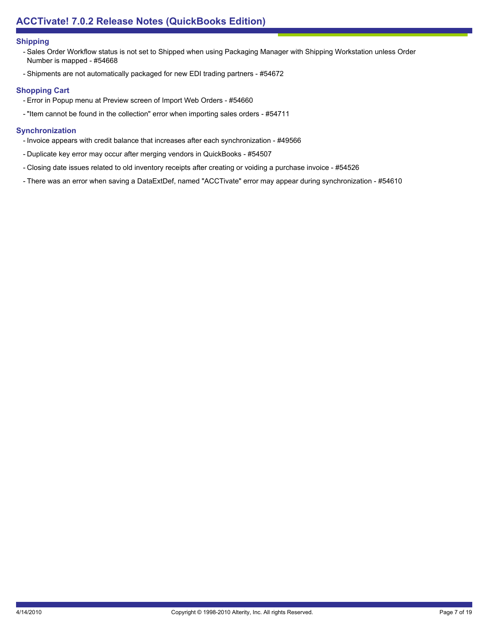## **Shipping**

- Sales Order Workflow status is not set to Shipped when using Packaging Manager with Shipping Workstation unless Order Number is mapped - #54668
- Shipments are not automatically packaged for new EDI trading partners #54672

## **Shopping Cart**

- Error in Popup menu at Preview screen of Import Web Orders #54660
- "Item cannot be found in the collection" error when importing sales orders #54711

## **Synchronization**

- Invoice appears with credit balance that increases after each synchronization #49566
- Duplicate key error may occur after merging vendors in QuickBooks #54507
- Closing date issues related to old inventory receipts after creating or voiding a purchase invoice #54526
- There was an error when saving a DataExtDef, named "ACCTivate" error may appear during synchronization #54610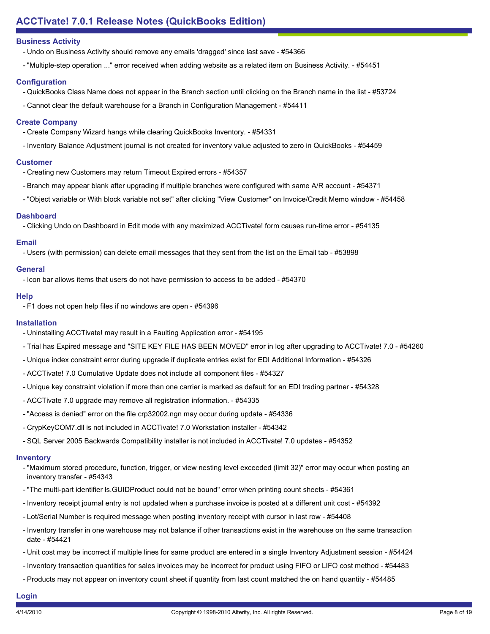- Undo on Business Activity should remove any emails 'dragged' since last save #54366
- "Multiple-step operation ..." error received when adding website as a related item on Business Activity. #54451

## **Configuration**

- QuickBooks Class Name does not appear in the Branch section until clicking on the Branch name in the list #53724
- Cannot clear the default warehouse for a Branch in Configuration Management #54411

## **Create Company**

- Create Company Wizard hangs while clearing QuickBooks Inventory. #54331
- Inventory Balance Adjustment journal is not created for inventory value adjusted to zero in QuickBooks #54459

## **Customer**

- Creating new Customers may return Timeout Expired errors #54357
- Branch may appear blank after upgrading if multiple branches were configured with same A/R account #54371
- "Object variable or With block variable not set" after clicking "View Customer" on Invoice/Credit Memo window #54458

## **Dashboard**

- Clicking Undo on Dashboard in Edit mode with any maximized ACCTivate! form causes run-time error - #54135

## **Email**

- Users (with permission) can delete email messages that they sent from the list on the Email tab - #53898

## **General**

- Icon bar allows items that users do not have permission to access to be added - #54370

## **Help**

- F1 does not open help files if no windows are open - #54396

## **Installation**

- Uninstalling ACCTivate! may result in a Faulting Application error #54195
- Trial has Expired message and "SITE KEY FILE HAS BEEN MOVED" error in log after upgrading to ACCTivate! 7.0 #54260
- Unique index constraint error during upgrade if duplicate entries exist for EDI Additional Information #54326
- ACCTivate! 7.0 Cumulative Update does not include all component files #54327
- Unique key constraint violation if more than one carrier is marked as default for an EDI trading partner #54328
- ACCTivate 7.0 upgrade may remove all registration information. #54335
- "Access is denied" error on the file crp32002.ngn may occur during update #54336
- CrypKeyCOM7.dll is not included in ACCTivate! 7.0 Workstation installer #54342
- SQL Server 2005 Backwards Compatibility installer is not included in ACCTivate! 7.0 updates #54352

## **Inventory**

- "Maximum stored procedure, function, trigger, or view nesting level exceeded (limit 32)" error may occur when posting an inventory transfer - #54343
- "The multi-part identifier ls.GUIDProduct could not be bound" error when printing count sheets #54361
- Inventory receipt journal entry is not updated when a purchase invoice is posted at a different unit cost #54392
- Lot/Serial Number is required message when posting inventory receipt with cursor in last row #54408
- Inventory transfer in one warehouse may not balance if other transactions exist in the warehouse on the same transaction date - #54421
- Unit cost may be incorrect if multiple lines for same product are entered in a single Inventory Adjustment session #54424
- Inventory transaction quantities for sales invoices may be incorrect for product using FIFO or LIFO cost method #54483
- Products may not appear on inventory count sheet if quantity from last count matched the on hand quantity #54485

## **Login**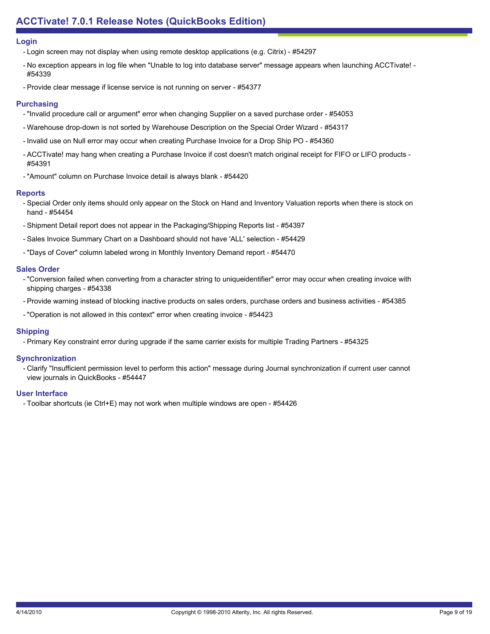#### **Login**

- Login screen may not display when using remote desktop applications (e.g. Citrix) - #54297

- No exception appears in log file when "Unable to log into database server" message appears when launching ACCTivate! -#54339
- Provide clear message if license service is not running on server #54377

#### **Purchasing**

- "Invalid procedure call or argument" error when changing Supplier on a saved purchase order #54053
- Warehouse drop-down is not sorted by Warehouse Description on the Special Order Wizard #54317
- Invalid use on Null error may occur when creating Purchase Invoice for a Drop Ship PO #54360
- ACCTivate! may hang when creating a Purchase Invoice if cost doesn't match original receipt for FIFO or LIFO products -#54391
- "Amount" column on Purchase Invoice detail is always blank #54420

#### **Reports**

- Special Order only items should only appear on the Stock on Hand and Inventory Valuation reports when there is stock on hand - #54454
- Shipment Detail report does not appear in the Packaging/Shipping Reports list #54397
- Sales Invoice Summary Chart on a Dashboard should not have 'ALL' selection #54429
- "Days of Cover" column labeled wrong in Monthly Inventory Demand report #54470

## **Sales Order**

- "Conversion failed when converting from a character string to uniqueidentifier" error may occur when creating invoice with shipping charges - #54338
- Provide warning instead of blocking inactive products on sales orders, purchase orders and business activities #54385
- "Operation is not allowed in this context" error when creating invoice #54423

## **Shipping**

- Primary Key constraint error during upgrade if the same carrier exists for multiple Trading Partners - #54325

## **Synchronization**

- Clarify "Insufficient permission level to perform this action" message during Journal synchronization if current user cannot view journals in QuickBooks - #54447

## **User Interface**

- Toolbar shortcuts (ie Ctrl+E) may not work when multiple windows are open - #54426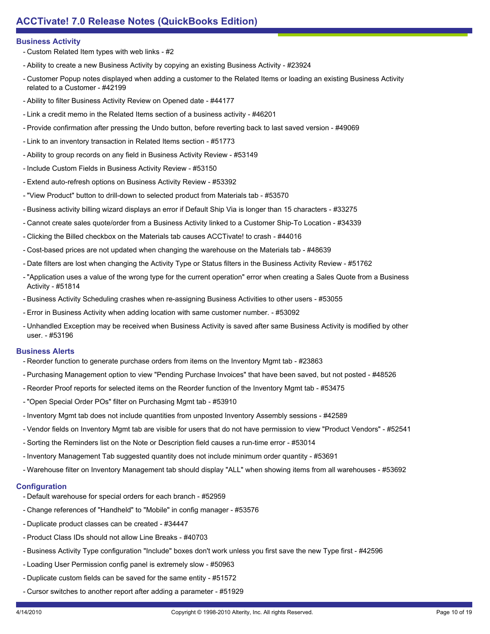- Custom Related Item types with web links #2
- Ability to create a new Business Activity by copying an existing Business Activity #23924
- Customer Popup notes displayed when adding a customer to the Related Items or loading an existing Business Activity related to a Customer - #42199
- Ability to filter Business Activity Review on Opened date #44177
- Link a credit memo in the Related Items section of a business activity #46201
- Provide confirmation after pressing the Undo button, before reverting back to last saved version #49069
- Link to an inventory transaction in Related Items section #51773
- Ability to group records on any field in Business Activity Review #53149
- Include Custom Fields in Business Activity Review #53150
- Extend auto-refresh options on Business Activity Review #53392
- "View Product" button to drill-down to selected product from Materials tab #53570
- Business activity billing wizard displays an error if Default Ship Via is longer than 15 characters #33275
- Cannot create sales quote/order from a Business Activity linked to a Customer Ship-To Location #34339
- Clicking the Billed checkbox on the Materials tab causes ACCTivate! to crash #44016
- Cost-based prices are not updated when changing the warehouse on the Materials tab #48639
- Date filters are lost when changing the Activity Type or Status filters in the Business Activity Review #51762
- "Application uses a value of the wrong type for the current operation" error when creating a Sales Quote from a Business Activity - #51814
- Business Activity Scheduling crashes when re-assigning Business Activities to other users #53055
- Error in Business Activity when adding location with same customer number. #53092
- Unhandled Exception may be received when Business Activity is saved after same Business Activity is modified by other user. - #53196

## **Business Alerts**

- Reorder function to generate purchase orders from items on the Inventory Mgmt tab #23863
- Purchasing Management option to view "Pending Purchase Invoices" that have been saved, but not posted #48526
- Reorder Proof reports for selected items on the Reorder function of the Inventory Mgmt tab #53475
- "Open Special Order POs" filter on Purchasing Mgmt tab #53910
- Inventory Mgmt tab does not include quantities from unposted Inventory Assembly sessions #42589
- Vendor fields on Inventory Mgmt tab are visible for users that do not have permission to view "Product Vendors" #52541
- Sorting the Reminders list on the Note or Description field causes a run-time error #53014
- Inventory Management Tab suggested quantity does not include minimum order quantity #53691
- Warehouse filter on Inventory Management tab should display "ALL" when showing items from all warehouses #53692

## **Configuration**

- Default warehouse for special orders for each branch #52959
- Change references of "Handheld" to "Mobile" in config manager #53576
- Duplicate product classes can be created #34447
- Product Class IDs should not allow Line Breaks #40703
- Business Activity Type configuration "Include" boxes don't work unless you first save the new Type first #42596
- Loading User Permission config panel is extremely slow #50963
- Duplicate custom fields can be saved for the same entity #51572
- Cursor switches to another report after adding a parameter #51929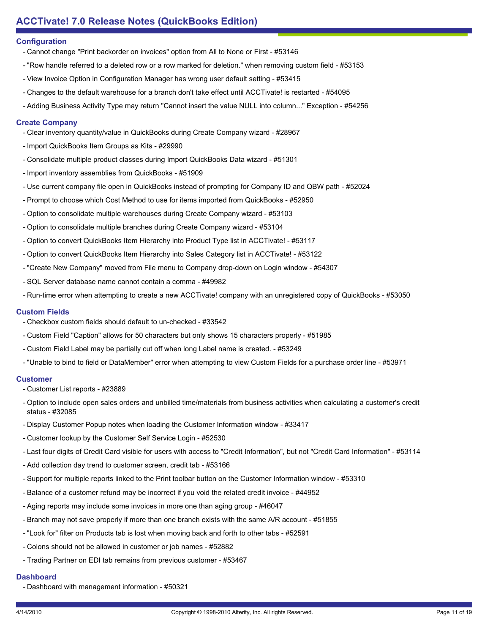## **Configuration**

- Cannot change "Print backorder on invoices" option from All to None or First #53146
- "Row handle referred to a deleted row or a row marked for deletion." when removing custom field #53153
- View Invoice Option in Configuration Manager has wrong user default setting #53415
- Changes to the default warehouse for a branch don't take effect until ACCTivate! is restarted #54095
- Adding Business Activity Type may return "Cannot insert the value NULL into column..." Exception #54256

#### **Create Company**

- Clear inventory quantity/value in QuickBooks during Create Company wizard #28967
- Import QuickBooks Item Groups as Kits #29990
- Consolidate multiple product classes during Import QuickBooks Data wizard #51301
- Import inventory assemblies from QuickBooks #51909
- Use current company file open in QuickBooks instead of prompting for Company ID and QBW path #52024
- Prompt to choose which Cost Method to use for items imported from QuickBooks #52950
- Option to consolidate multiple warehouses during Create Company wizard #53103
- Option to consolidate multiple branches during Create Company wizard #53104
- Option to convert QuickBooks Item Hierarchy into Product Type list in ACCTivate! #53117
- Option to convert QuickBooks Item Hierarchy into Sales Category list in ACCTivate! #53122
- "Create New Company" moved from File menu to Company drop-down on Login window #54307
- SQL Server database name cannot contain a comma #49982
- Run-time error when attempting to create a new ACCTivate! company with an unregistered copy of QuickBooks #53050

## **Custom Fields**

- Checkbox custom fields should default to un-checked #33542
- Custom Field "Caption" allows for 50 characters but only shows 15 characters properly #51985
- Custom Field Label may be partially cut off when long Label name is created. #53249
- "Unable to bind to field or DataMember" error when attempting to view Custom Fields for a purchase order line #53971

## **Customer**

- Customer List reports #23889
- Option to include open sales orders and unbilled time/materials from business activities when calculating a customer's credit status - #32085
- Display Customer Popup notes when loading the Customer Information window #33417
- Customer lookup by the Customer Self Service Login #52530
- Last four digits of Credit Card visible for users with access to "Credit Information", but not "Credit Card Information" #53114
- Add collection day trend to customer screen, credit tab #53166
- Support for multiple reports linked to the Print toolbar button on the Customer Information window #53310
- Balance of a customer refund may be incorrect if you void the related credit invoice #44952
- Aging reports may include some invoices in more one than aging group #46047
- Branch may not save properly if more than one branch exists with the same A/R account #51855
- "Look for" filter on Products tab is lost when moving back and forth to other tabs #52591
- Colons should not be allowed in customer or job names #52882
- Trading Partner on EDI tab remains from previous customer #53467

# **Dashboard**

- Dashboard with management information - #50321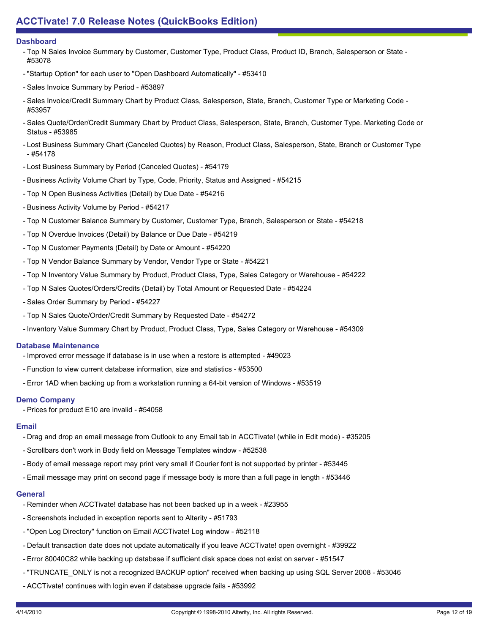## **Dashboard**

- Top N Sales Invoice Summary by Customer, Customer Type, Product Class, Product ID, Branch, Salesperson or State -#53078
- "Startup Option" for each user to "Open Dashboard Automatically" #53410
- Sales Invoice Summary by Period #53897
- Sales Invoice/Credit Summary Chart by Product Class, Salesperson, State, Branch, Customer Type or Marketing Code -#53957
- Sales Quote/Order/Credit Summary Chart by Product Class, Salesperson, State, Branch, Customer Type. Marketing Code or Status - #53985
- Lost Business Summary Chart (Canceled Quotes) by Reason, Product Class, Salesperson, State, Branch or Customer Type - #54178
- Lost Business Summary by Period (Canceled Quotes) #54179
- Business Activity Volume Chart by Type, Code, Priority, Status and Assigned #54215
- Top N Open Business Activities (Detail) by Due Date #54216
- Business Activity Volume by Period #54217
- Top N Customer Balance Summary by Customer, Customer Type, Branch, Salesperson or State #54218
- Top N Overdue Invoices (Detail) by Balance or Due Date #54219
- Top N Customer Payments (Detail) by Date or Amount #54220
- Top N Vendor Balance Summary by Vendor, Vendor Type or State #54221
- Top N Inventory Value Summary by Product, Product Class, Type, Sales Category or Warehouse #54222
- Top N Sales Quotes/Orders/Credits (Detail) by Total Amount or Requested Date #54224
- Sales Order Summary by Period #54227
- Top N Sales Quote/Order/Credit Summary by Requested Date #54272
- Inventory Value Summary Chart by Product, Product Class, Type, Sales Category or Warehouse #54309

#### **Database Maintenance**

- Improved error message if database is in use when a restore is attempted #49023
- Function to view current database information, size and statistics #53500
- Error 1AD when backing up from a workstation running a 64-bit version of Windows #53519

## **Demo Company**

- Prices for product E10 are invalid - #54058

# **Email**

- Drag and drop an email message from Outlook to any Email tab in ACCTivate! (while in Edit mode) #35205
- Scrollbars don't work in Body field on Message Templates window #52538
- Body of email message report may print very small if Courier font is not supported by printer #53445
- Email message may print on second page if message body is more than a full page in length #53446

# **General**

- Reminder when ACCTivate! database has not been backed up in a week #23955
- Screenshots included in exception reports sent to Alterity #51793
- "Open Log Directory" function on Email ACCTivate! Log window #52118
- Default transaction date does not update automatically if you leave ACCTivate! open overnight #39922
- Error 80040C82 while backing up database if sufficient disk space does not exist on server #51547
- "TRUNCATE\_ONLY is not a recognized BACKUP option" received when backing up using SQL Server 2008 #53046
- ACCTivate! continues with login even if database upgrade fails #53992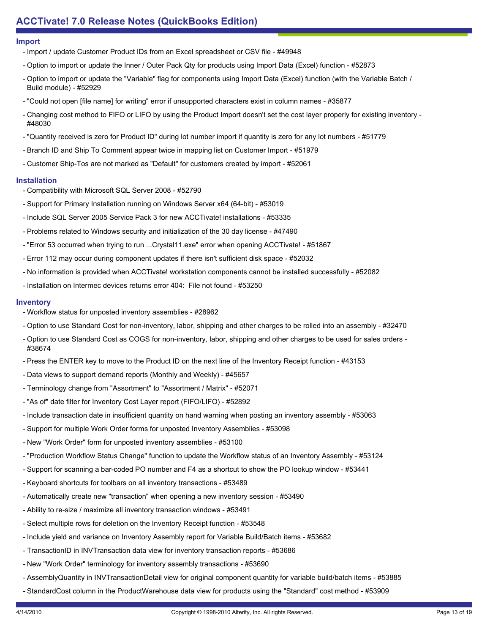#### **Import**

- Import / update Customer Product IDs from an Excel spreadsheet or CSV file - #49948

- Option to import or update the Inner / Outer Pack Qty for products using Import Data (Excel) function #52873
- Option to import or update the "Variable" flag for components using Import Data (Excel) function (with the Variable Batch / Build module) - #52929
- "Could not open [file name] for writing" error if unsupported characters exist in column names #35877
- Changing cost method to FIFO or LIFO by using the Product Import doesn't set the cost layer properly for existing inventory -#48030
- "Quantity received is zero for Product ID" during lot number import if quantity is zero for any lot numbers #51779
- Branch ID and Ship To Comment appear twice in mapping list on Customer Import #51979
- Customer Ship-Tos are not marked as "Default" for customers created by import #52061

# **Installation**

- Compatibility with Microsoft SQL Server 2008 #52790
- Support for Primary Installation running on Windows Server x64 (64-bit) #53019
- Include SQL Server 2005 Service Pack 3 for new ACCTivate! installations #53335
- Problems related to Windows security and initialization of the 30 day license #47490
- "Error 53 occurred when trying to run ...Crystal11.exe" error when opening ACCTivate! #51867
- Error 112 may occur during component updates if there isn't sufficient disk space #52032
- No information is provided when ACCTivate! workstation components cannot be installed successfully #52082
- Installation on Intermec devices returns error 404: File not found #53250

# **Inventory**

- Workflow status for unposted inventory assemblies #28962
- Option to use Standard Cost for non-inventory, labor, shipping and other charges to be rolled into an assembly #32470
- Option to use Standard Cost as COGS for non-inventory, labor, shipping and other charges to be used for sales orders -#38674
- Press the ENTER key to move to the Product ID on the next line of the Inventory Receipt function #43153
- Data views to support demand reports (Monthly and Weekly) #45657
- Terminology change from "Assortment" to "Assortment / Matrix" #52071
- "As of" date filter for Inventory Cost Layer report (FIFO/LIFO) #52892
- Include transaction date in insufficient quantity on hand warning when posting an inventory assembly #53063
- Support for multiple Work Order forms for unposted Inventory Assemblies #53098
- New "Work Order" form for unposted inventory assemblies #53100
- "Production Workflow Status Change" function to update the Workflow status of an Inventory Assembly #53124
- Support for scanning a bar-coded PO number and F4 as a shortcut to show the PO lookup window #53441
- Keyboard shortcuts for toolbars on all inventory transactions #53489
- Automatically create new "transaction" when opening a new inventory session #53490
- Ability to re-size / maximize all inventory transaction windows #53491
- Select multiple rows for deletion on the Inventory Receipt function #53548
- Include yield and variance on Inventory Assembly report for Variable Build/Batch items #53682
- TransactionID in INVTransaction data view for inventory transaction reports #53686
- New "Work Order" terminology for inventory assembly transactions #53690
- AssemblyQuantity in INVTransactionDetail view for original component quantity for variable build/batch items #53885
- StandardCost column in the ProductWarehouse data view for products using the "Standard" cost method #53909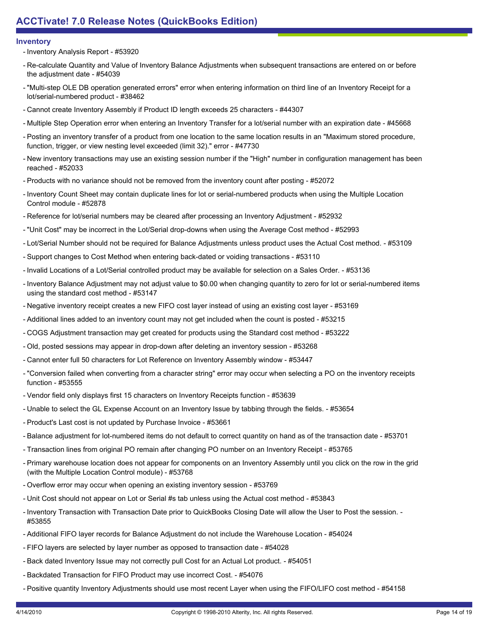## **Inventory**

- Inventory Analysis Report - #53920

- Re-calculate Quantity and Value of Inventory Balance Adjustments when subsequent transactions are entered on or before the adjustment date - #54039
- "Multi-step OLE DB operation generated errors" error when entering information on third line of an Inventory Receipt for a lot/serial-numbered product - #38462
- Cannot create Inventory Assembly if Product ID length exceeds 25 characters #44307
- Multiple Step Operation error when entering an Inventory Transfer for a lot/serial number with an expiration date #45668
- Posting an inventory transfer of a product from one location to the same location results in an "Maximum stored procedure, function, trigger, or view nesting level exceeded (limit 32)." error - #47730
- New inventory transactions may use an existing session number if the "High" number in configuration management has been reached - #52033
- Products with no variance should not be removed from the inventory count after posting #52072
- Inventory Count Sheet may contain duplicate lines for lot or serial-numbered products when using the Multiple Location Control module - #52878
- Reference for lot/serial numbers may be cleared after processing an Inventory Adjustment #52932
- "Unit Cost" may be incorrect in the Lot/Serial drop-downs when using the Average Cost method #52993
- Lot/Serial Number should not be required for Balance Adjustments unless product uses the Actual Cost method. #53109
- Support changes to Cost Method when entering back-dated or voiding transactions #53110
- Invalid Locations of a Lot/Serial controlled product may be available for selection on a Sales Order. #53136
- Inventory Balance Adjustment may not adjust value to \$0.00 when changing quantity to zero for lot or serial-numbered items using the standard cost method - #53147
- Negative inventory receipt creates a new FIFO cost layer instead of using an existing cost layer #53169
- Additional lines added to an inventory count may not get included when the count is posted #53215
- COGS Adjustment transaction may get created for products using the Standard cost method #53222
- Old, posted sessions may appear in drop-down after deleting an inventory session #53268
- Cannot enter full 50 characters for Lot Reference on Inventory Assembly window #53447
- "Conversion failed when converting from a character string" error may occur when selecting a PO on the inventory receipts function - #53555
- Vendor field only displays first 15 characters on Inventory Receipts function #53639
- Unable to select the GL Expense Account on an Inventory Issue by tabbing through the fields. #53654
- Product's Last cost is not updated by Purchase Invoice #53661
- Balance adjustment for lot-numbered items do not default to correct quantity on hand as of the transaction date #53701
- Transaction lines from original PO remain after changing PO number on an Inventory Receipt #53765
- Primary warehouse location does not appear for components on an Inventory Assembly until you click on the row in the grid (with the Multiple Location Control module) - #53768
- Overflow error may occur when opening an existing inventory session #53769
- Unit Cost should not appear on Lot or Serial #s tab unless using the Actual cost method #53843
- Inventory Transaction with Transaction Date prior to QuickBooks Closing Date will allow the User to Post the session. -#53855
- Additional FIFO layer records for Balance Adjustment do not include the Warehouse Location #54024
- FIFO layers are selected by layer number as opposed to transaction date #54028
- Back dated Inventory Issue may not correctly pull Cost for an Actual Lot product. #54051
- Backdated Transaction for FIFO Product may use incorrect Cost. #54076
- Positive quantity Inventory Adjustments should use most recent Layer when using the FIFO/LIFO cost method #54158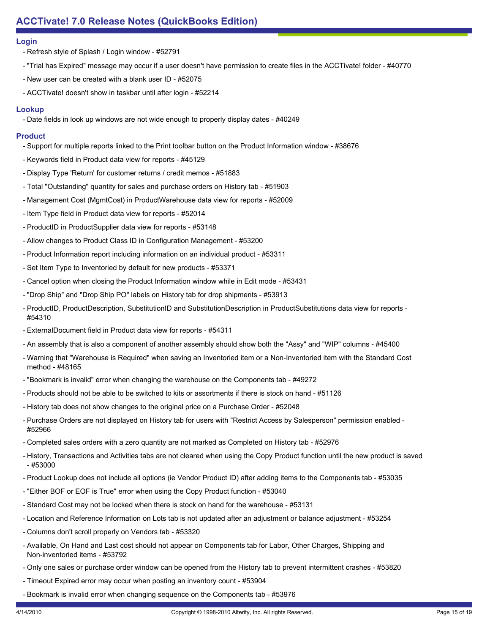## **Login**

- Refresh style of Splash / Login window - #52791

- "Trial has Expired" message may occur if a user doesn't have permission to create files in the ACCTivate! folder #40770
- New user can be created with a blank user ID #52075
- ACCTivate! doesn't show in taskbar until after login #52214

## **Lookup**

- Date fields in look up windows are not wide enough to properly display dates - #40249

## **Product**

- Support for multiple reports linked to the Print toolbar button on the Product Information window #38676
- Keywords field in Product data view for reports #45129
- Display Type 'Return' for customer returns / credit memos #51883
- Total "Outstanding" quantity for sales and purchase orders on History tab #51903
- Management Cost (MgmtCost) in ProductWarehouse data view for reports #52009
- Item Type field in Product data view for reports #52014
- ProductID in ProductSupplier data view for reports #53148
- Allow changes to Product Class ID in Configuration Management #53200
- Product Information report including information on an individual product #53311
- Set Item Type to Inventoried by default for new products #53371
- Cancel option when closing the Product Information window while in Edit mode #53431
- "Drop Ship" and "Drop Ship PO" labels on History tab for drop shipments #53913
- ProductID, ProductDescription, SubstitutionID and SubstitutionDescription in ProductSubstitutions data view for reports -#54310
- ExternalDocument field in Product data view for reports #54311
- An assembly that is also a component of another assembly should show both the "Assy" and "WIP" columns #45400
- Warning that "Warehouse is Required" when saving an Inventoried item or a Non-Inventoried item with the Standard Cost method - #48165
- "Bookmark is invalid" error when changing the warehouse on the Components tab #49272
- Products should not be able to be switched to kits or assortments if there is stock on hand #51126
- History tab does not show changes to the original price on a Purchase Order #52048
- Purchase Orders are not displayed on History tab for users with "Restrict Access by Salesperson" permission enabled -#52966
- Completed sales orders with a zero quantity are not marked as Completed on History tab #52976
- History, Transactions and Activities tabs are not cleared when using the Copy Product function until the new product is saved - #53000
- Product Lookup does not include all options (ie Vendor Product ID) after adding items to the Components tab #53035
- "Either BOF or EOF is True" error when using the Copy Product function #53040
- Standard Cost may not be locked when there is stock on hand for the warehouse #53131
- Location and Reference Information on Lots tab is not updated after an adjustment or balance adjustment #53254
- Columns don't scroll properly on Vendors tab #53320
- Available, On Hand and Last cost should not appear on Components tab for Labor, Other Charges, Shipping and Non-inventoried items - #53792
- Only one sales or purchase order window can be opened from the History tab to prevent intermittent crashes #53820
- Timeout Expired error may occur when posting an inventory count #53904
- Bookmark is invalid error when changing sequence on the Components tab #53976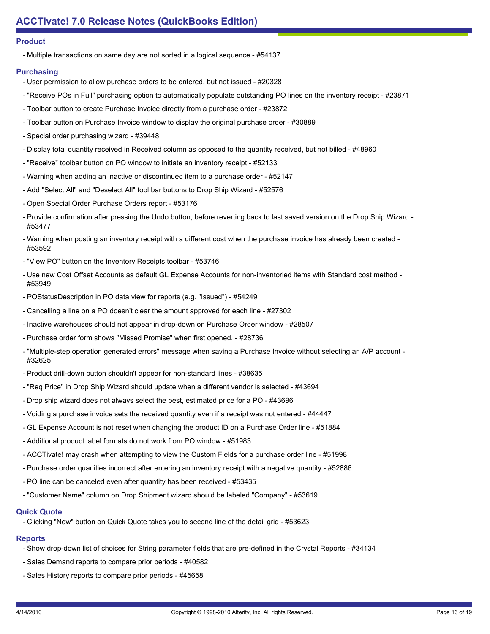## **Product**

- Multiple transactions on same day are not sorted in a logical sequence - #54137

# **Purchasing**

- User permission to allow purchase orders to be entered, but not issued #20328
- "Receive POs in Full" purchasing option to automatically populate outstanding PO lines on the inventory receipt #23871
- Toolbar button to create Purchase Invoice directly from a purchase order #23872
- Toolbar button on Purchase Invoice window to display the original purchase order #30889
- Special order purchasing wizard #39448
- Display total quantity received in Received column as opposed to the quantity received, but not billed #48960
- "Receive" toolbar button on PO window to initiate an inventory receipt #52133
- Warning when adding an inactive or discontinued item to a purchase order #52147
- Add "Select All" and "Deselect All" tool bar buttons to Drop Ship Wizard #52576
- Open Special Order Purchase Orders report #53176
- Provide confirmation after pressing the Undo button, before reverting back to last saved version on the Drop Ship Wizard -#53477
- Warning when posting an inventory receipt with a different cost when the purchase invoice has already been created -#53592
- "View PO" button on the Inventory Receipts toolbar #53746
- Use new Cost Offset Accounts as default GL Expense Accounts for non-inventoried items with Standard cost method -#53949
- POStatusDescription in PO data view for reports (e.g. "Issued") #54249
- Cancelling a line on a PO doesn't clear the amount approved for each line #27302
- Inactive warehouses should not appear in drop-down on Purchase Order window #28507
- Purchase order form shows "Missed Promise" when first opened. #28736
- "Multiple-step operation generated errors" message when saving a Purchase Invoice without selecting an A/P account -#32625
- Product drill-down button shouldn't appear for non-standard lines #38635
- "Req Price" in Drop Ship Wizard should update when a different vendor is selected #43694
- Drop ship wizard does not always select the best, estimated price for a PO #43696
- Voiding a purchase invoice sets the received quantity even if a receipt was not entered #44447
- GL Expense Account is not reset when changing the product ID on a Purchase Order line #51884
- Additional product label formats do not work from PO window #51983
- ACCTivate! may crash when attempting to view the Custom Fields for a purchase order line #51998
- Purchase order quanities incorrect after entering an inventory receipt with a negative quantity #52886
- PO line can be canceled even after quantity has been received #53435
- "Customer Name" column on Drop Shipment wizard should be labeled "Company" #53619

# **Quick Quote**

- Clicking "New" button on Quick Quote takes you to second line of the detail grid - #53623

# **Reports**

- Show drop-down list of choices for String parameter fields that are pre-defined in the Crystal Reports #34134
- Sales Demand reports to compare prior periods #40582
- Sales History reports to compare prior periods #45658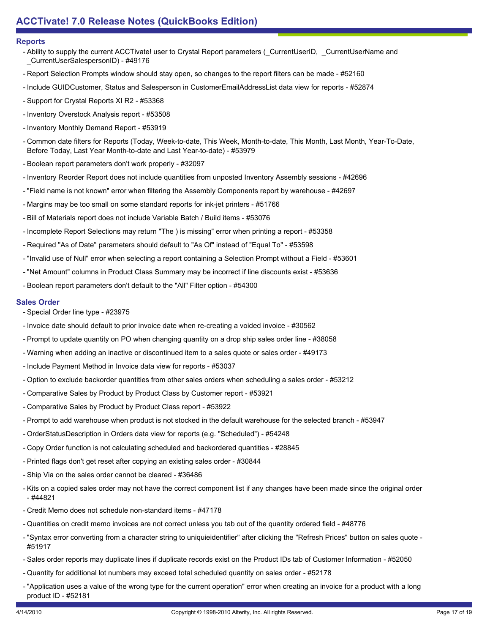#### **Reports**

- Ability to supply the current ACCTivate! user to Crystal Report parameters (\_CurrentUserID, \_CurrentUserName and \_CurrentUserSalespersonID) - #49176
- Report Selection Prompts window should stay open, so changes to the report filters can be made #52160
- Include GUIDCustomer, Status and Salesperson in CustomerEmailAddressList data view for reports #52874
- Support for Crystal Reports XI R2 #53368
- Inventory Overstock Analysis report #53508
- Inventory Monthly Demand Report #53919
- Common date filters for Reports (Today, Week-to-date, This Week, Month-to-date, This Month, Last Month, Year-To-Date, Before Today, Last Year Month-to-date and Last Year-to-date) - #53979
- Boolean report parameters don't work properly #32097
- Inventory Reorder Report does not include quantities from unposted Inventory Assembly sessions #42696
- "Field name is not known" error when filtering the Assembly Components report by warehouse #42697
- Margins may be too small on some standard reports for ink-jet printers #51766
- Bill of Materials report does not include Variable Batch / Build items #53076
- Incomplete Report Selections may return "The ) is missing" error when printing a report #53358
- Required "As of Date" parameters should default to "As Of" instead of "Equal To" #53598
- "Invalid use of Null" error when selecting a report containing a Selection Prompt without a Field #53601
- "Net Amount" columns in Product Class Summary may be incorrect if line discounts exist #53636
- Boolean report parameters don't default to the "All" Filter option #54300

## **Sales Order**

- Special Order line type #23975
- Invoice date should default to prior invoice date when re-creating a voided invoice #30562
- Prompt to update quantity on PO when changing quantity on a drop ship sales order line #38058
- Warning when adding an inactive or discontinued item to a sales quote or sales order #49173
- Include Payment Method in Invoice data view for reports #53037
- Option to exclude backorder quantities from other sales orders when scheduling a sales order #53212
- Comparative Sales by Product by Product Class by Customer report #53921
- Comparative Sales by Product by Product Class report #53922
- Prompt to add warehouse when product is not stocked in the default warehouse for the selected branch #53947
- OrderStatusDescription in Orders data view for reports (e.g. "Scheduled") #54248
- Copy Order function is not calculating scheduled and backordered quantities #28845
- Printed flags don't get reset after copying an existing sales order #30844
- Ship Via on the sales order cannot be cleared #36486
- Kits on a copied sales order may not have the correct component list if any changes have been made since the original order - #44821
- Credit Memo does not schedule non-standard items #47178
- Quantities on credit memo invoices are not correct unless you tab out of the quantity ordered field #48776
- "Syntax error converting from a character string to uniquieidentifier" after clicking the "Refresh Prices" button on sales quote -#51917
- Sales order reports may duplicate lines if duplicate records exist on the Product IDs tab of Customer Information #52050
- Quantity for additional lot numbers may exceed total scheduled quantity on sales order #52178
- "Application uses a value of the wrong type for the current operation" error when creating an invoice for a product with a long product ID - #52181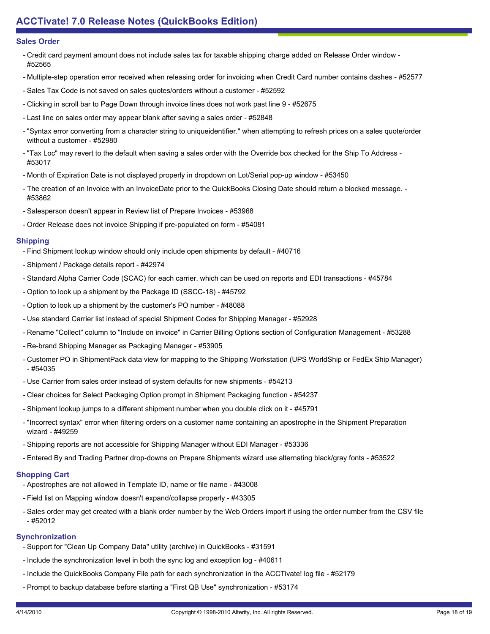## **Sales Order**

- Credit card payment amount does not include sales tax for taxable shipping charge added on Release Order window -#52565
- Multiple-step operation error received when releasing order for invoicing when Credit Card number contains dashes #52577
- Sales Tax Code is not saved on sales quotes/orders without a customer #52592
- Clicking in scroll bar to Page Down through invoice lines does not work past line 9 #52675
- Last line on sales order may appear blank after saving a sales order #52848
- "Syntax error converting from a character string to uniqueidentifier." when attempting to refresh prices on a sales quote/order without a customer - #52980
- "Tax Loc" may revert to the default when saving a sales order with the Override box checked for the Ship To Address -#53017
- Month of Expiration Date is not displayed properly in dropdown on Lot/Serial pop-up window #53450
- The creation of an Invoice with an InvoiceDate prior to the QuickBooks Closing Date should return a blocked message. -#53862
- Salesperson doesn't appear in Review list of Prepare Invoices #53968
- Order Release does not invoice Shipping if pre-populated on form #54081

## **Shipping**

- Find Shipment lookup window should only include open shipments by default #40716
- Shipment / Package details report #42974
- Standard Alpha Carrier Code (SCAC) for each carrier, which can be used on reports and EDI transactions #45784
- Option to look up a shipment by the Package ID (SSCC-18) #45792
- Option to look up a shipment by the customer's PO number #48088
- Use standard Carrier list instead of special Shipment Codes for Shipping Manager #52928
- Rename "Collect" column to "Include on invoice" in Carrier Billing Options section of Configuration Management #53288
- Re-brand Shipping Manager as Packaging Manager #53905
- Customer PO in ShipmentPack data view for mapping to the Shipping Workstation (UPS WorldShip or FedEx Ship Manager)  $-$  #54035
- Use Carrier from sales order instead of system defaults for new shipments #54213
- Clear choices for Select Packaging Option prompt in Shipment Packaging function #54237
- Shipment lookup jumps to a different shipment number when you double click on it #45791
- "Incorrect syntax" error when filtering orders on a customer name containing an apostrophe in the Shipment Preparation wizard - #49259
- Shipping reports are not accessible for Shipping Manager without EDI Manager #53336
- Entered By and Trading Partner drop-downs on Prepare Shipments wizard use alternating black/gray fonts #53522

# **Shopping Cart**

- Apostrophes are not allowed in Template ID, name or file name #43008
- Field list on Mapping window doesn't expand/collapse properly #43305
- Sales order may get created with a blank order number by the Web Orders import if using the order number from the CSV file - #52012

# **Synchronization**

- Support for "Clean Up Company Data" utility (archive) in QuickBooks #31591
- Include the synchronization level in both the sync log and exception log #40611
- Include the QuickBooks Company File path for each synchronization in the ACCTivate! log file #52179
- Prompt to backup database before starting a "First QB Use" synchronization #53174